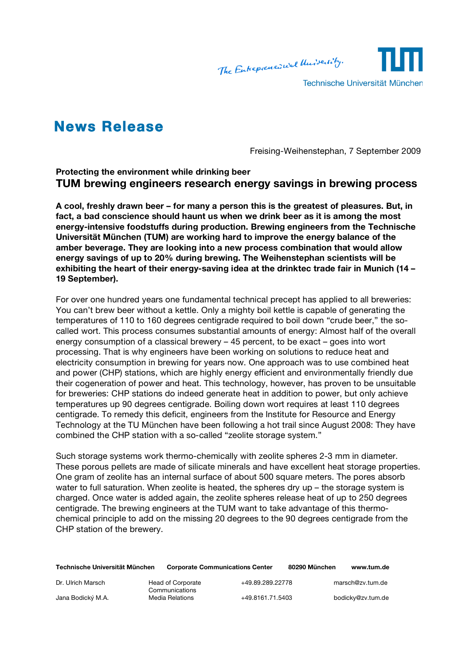The Entrepreneurual University.



Technische Universität München

## **News Release**

Freising-Weihenstephan, 7 September 2009

**Protecting the environment while drinking beer TUM brewing engineers research energy savings in brewing process**

**A cool, freshly drawn beer – for many a person this is the greatest of pleasures. But, in fact, a bad conscience should haunt us when we drink beer as it is among the most energy-intensive foodstuffs during production. Brewing engineers from the Technische Universität München (TUM) are working hard to improve the energy balance of the amber beverage. They are looking into a new process combination that would allow energy savings of up to 20% during brewing. The Weihenstephan scientists will be exhibiting the heart of their energy-saving idea at the drinktec trade fair in Munich (14 – 19 September).**

For over one hundred years one fundamental technical precept has applied to all breweries: You can't brew beer without a kettle. Only a mighty boil kettle is capable of generating the temperatures of 110 to 160 degrees centigrade required to boil down "crude beer," the socalled wort. This process consumes substantial amounts of energy: Almost half of the overall energy consumption of a classical brewery – 45 percent, to be exact – goes into wort processing. That is why engineers have been working on solutions to reduce heat and electricity consumption in brewing for years now. One approach was to use combined heat and power (CHP) stations, which are highly energy efficient and environmentally friendly due their cogeneration of power and heat. This technology, however, has proven to be unsuitable for breweries: CHP stations do indeed generate heat in addition to power, but only achieve temperatures up 90 degrees centigrade. Boiling down wort requires at least 110 degrees centigrade. To remedy this deficit, engineers from the Institute for Resource and Energy Technology at the TU München have been following a hot trail since August 2008: They have combined the CHP station with a so-called "zeolite storage system."

Such storage systems work thermo-chemically with zeolite spheres 2-3 mm in diameter. These porous pellets are made of silicate minerals and have excellent heat storage properties. One gram of zeolite has an internal surface of about 500 square meters. The pores absorb water to full saturation. When zeolite is heated, the spheres dry up - the storage system is charged. Once water is added again, the zeolite spheres release heat of up to 250 degrees centigrade. The brewing engineers at the TUM want to take advantage of this thermochemical principle to add on the missing 20 degrees to the 90 degrees centigrade from the CHP station of the brewery.

| Technische Universität München | <b>Corporate Communications Center</b> |                  | 80290 München | www.tum.de        |
|--------------------------------|----------------------------------------|------------------|---------------|-------------------|
| Dr. Ulrich Marsch              | Head of Corporate<br>Communications    | +49.89.289.22778 |               | marsch@zv.tum.de  |
| Jana Bodický M.A.              | Media Relations                        | +49.8161.71.5403 |               | bodicky@zv.tum.de |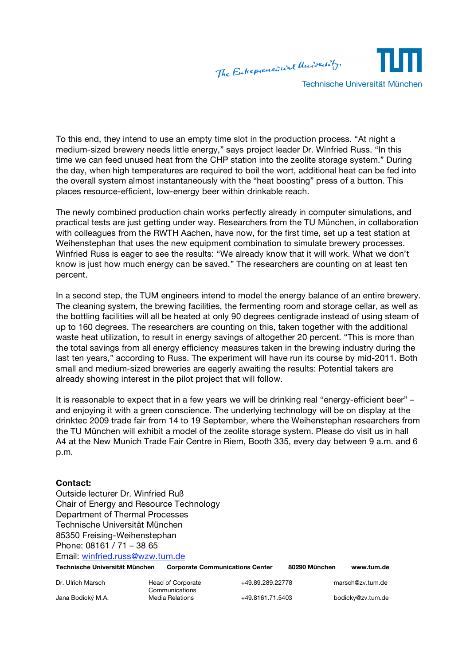

To this end, they intend to use an empty time slot in the production process. "At night a medium-sized brewery needs little energy," says project leader Dr. Winfried Russ. "In this time we can feed unused heat from the CHP station into the zeolite storage system." During the day, when high temperatures are required to boil the wort, additional heat can be fed into the overall system almost instantaneously with the "heat boosting" press of a button. This places resource-efficient, low-energy beer within drinkable reach.

The newly combined production chain works perfectly already in computer simulations, and practical tests are just getting under way. Researchers from the TU München, in collaboration with colleagues from the RWTH Aachen, have now, for the first time, set up a test station at Weihenstephan that uses the new equipment combination to simulate brewery processes. Winfried Russ is eager to see the results: "We already know that it will work. What we don't know is just how much energy can be saved." The researchers are counting on at least ten percent.

In a second step, the TUM engineers intend to model the energy balance of an entire brewery. The cleaning system, the brewing facilities, the fermenting room and storage cellar, as well as the bottling facilities will all be heated at only 90 degrees centigrade instead of using steam of up to 160 degrees. The researchers are counting on this, taken together with the additional waste heat utilization, to result in energy savings of altogether 20 percent. "This is more than the total savings from all energy efficiency measures taken in the brewing industry during the last ten years," according to Russ. The experiment will have run its course by mid-2011. Both small and medium-sized breweries are eagerly awaiting the results: Potential takers are already showing interest in the pilot project that will follow.

It is reasonable to expect that in a few years we will be drinking real "energy-efficient beer" – and enjoying it with a green conscience. The underlying technology will be on display at the drinktec 2009 trade fair from 14 to 19 September, where the Weihenstephan researchers from the TU München will exhibit a model of the zeolite storage system. Please do visit us in hall A4 at the New Munich Trade Fair Centre in Riem, Booth 335, every day between 9 a.m. and 6 p.m.

## **Contact:**

Outside lecturer Dr. Winfried Ruß Chair of Energy and Resource Technology Department of Thermal Processes Technische Universität München 85350 Freising-Weihenstephan Phone: 08161 / 71 – 38 65 Email: winfried.russ@wzw.tum.de

| Technische Universität München |                                   | <b>Corporate Communications Center</b> | 80290 München | www.tum.de        |
|--------------------------------|-----------------------------------|----------------------------------------|---------------|-------------------|
| Dr. Ulrich Marsch              | Head of Corporate                 | +49.89.289.22778                       |               | marsch@zv.tum.de  |
| Jana Bodický M.A.              | Communications<br>Media Relations | +49.8161.71.5403                       |               | bodicky@zv.tum.de |